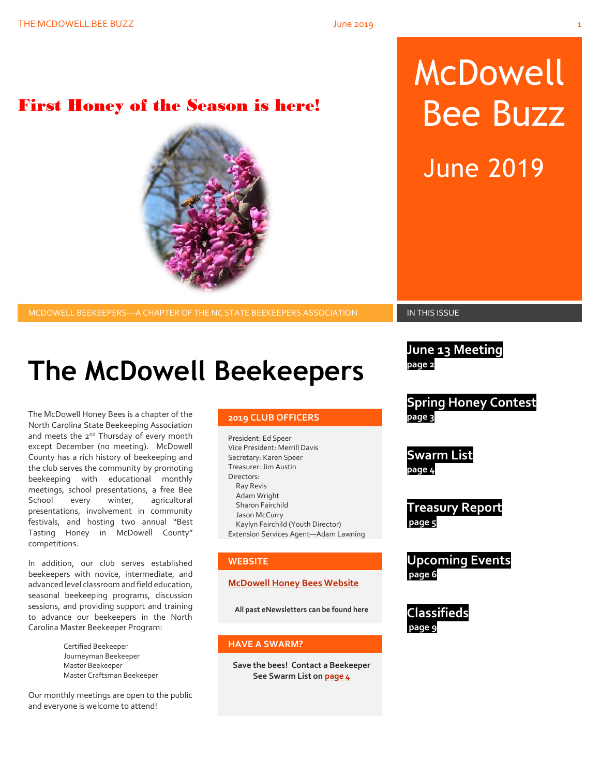## First Honey of the Season is here!

**2019 CLUB OFFICERS**

North Carolina State Beekeeping Association and meets the 2<sup>nd</sup> Thursday of every month except December (no meeting). McDowell County has a rich history of beekeeping and the club serves the community by promoting beekeeping with educational monthly meetings, school presentations, a free Bee School every winter, agricultural presentations, involvement in community festivals, and hosting two annual "Best Tasting Honey in McDowell County" competitions.

In addition, our club serves established beekeepers with novice, intermediate, and advanced level classroom and field education, seasonal beekeeping programs, discussion sessions, and providing support and training to advance our beekeepers in the North Carolina Master Beekeeper Program:

The McDowell Honey Bees is a chapter of the

Certified Beekeeper Journeyman Beekeeper Master Beekeeper Master Craftsman Beekeeper

Our monthly meetings are open to the public and everyone is welcome to attend!

President: Ed Speer Vice President: Merrill Davis Secretary: Karen Speer Treasurer: Jim Austin Directors: Ray Revis Adam Wright Sharon Fairchild Jason McCurry Kaylyn Fairchild (Youth Director) Extension Services Agent—Adam Lawning

#### **WEBSITE**

#### **[McDowell Honey Bees Website](http://www.mcdowellhoneybees.org/)**

**All past eNewsletters can be found here**

#### **HAVE A SWARM?**

**Save the bees! Contact a Beekeeper See Swarm List o[n page 4](#page-7-0)**

# McDowell Bee Buzz

June 2019

MCDOWELL BEEKEEPERS---A CHAPTER OF THE NC STATE BEEKEEPERS ASSOCIATION **IN THIS ISSUE** 

**June 13 Meeting page 2**

**Spring Honey Contest page 3**

**Swarm List page 4**

**Treasury Report page 5**

**Upcoming Events page 6**

**Classifieds page 9**

**The McDowell Beekeepers**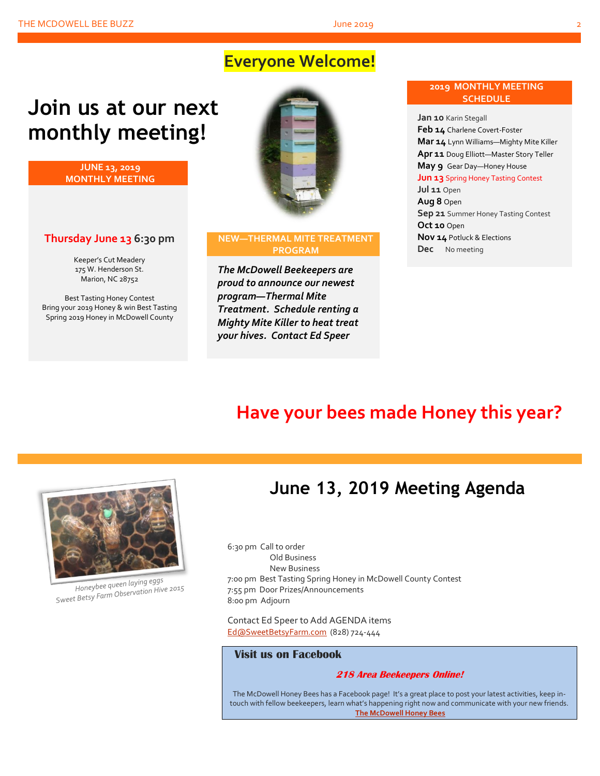## **Everyone Welcome!**

# **Join us at our next monthly meeting!**

**JUNE 13, 2019 MONTHLY MEETING**

### **Thursday June 13 6:30 pm**

Keeper's Cut Meadery 175 W. Henderson St. Marion, NC 28752

Best Tasting Honey Contest Bring your 2019 Honey & win Best Tasting Spring 2019 Honey in McDowell County



#### **NEW—THERMAL MITE TREATMENT PROGRAM**

*The McDowell Beekeepers are proud to announce our newest program—Thermal Mite Treatment. Schedule renting a Mighty Mite Killer to heat treat your hives. Contact Ed Speer*

#### **2019 MONTHLY MEETING SCHEDULE**

**Jan 10** Karin Stegall **Feb 14** Charlene Covert-Foster **Mar 14** Lynn Williams—Mighty Mite Killer **Apr 11** Doug Elliott—Master Story Teller **May 9** Gear Day—Honey House **Jun 13** Spring Honey Tasting Contest **Jul 11** Open **Aug 8** Open **Sep 21** Summer Honey Tasting Contest **Oct 10** Open **Nov 14** Potluck & Elections **Dec** No meeting

## **Have your bees made Honey this year?**



Honeybee queen laying eggs Honeybee queen laying eyys<br>Sweet Betsy Farm Observation Hive 2015

## **June 13, 2019 Meeting Agenda**

6:30 pm Call to order Old Business New Business 7:00 pm Best Tasting Spring Honey in McDowell County Contest 7:55 pm Door Prizes/Announcements 8:00 pm Adjourn

Contact Ed Speer to Add AGENDA items [Ed@SweetBetsyFarm.com](mailto:Ed@SweetBetsyFarm.com) (828) 724-444

#### **Visit us on Facebook**

#### **218 Area Beekeepers Online!**

The McDowell Honey Bees has a Facebook page! It's a great place to post your latest activities, keep intouch with fellow beekeepers, learn what's happening right now and communicate with your new friends. **[The McDowell Honey Bees](https://www.facebook.com/groups/MHBee/)**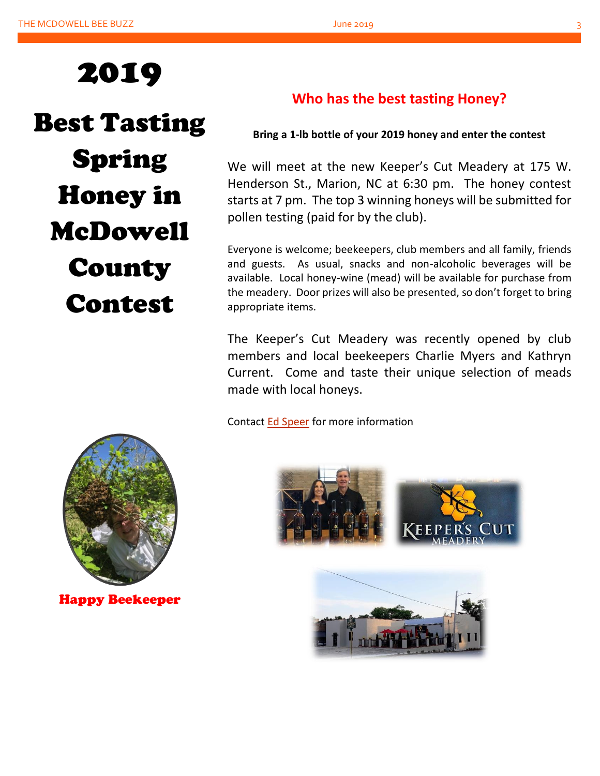

Best Tasting Spring Honey in McDowell **County** Contest

## **Who has the best tasting Honey?**

## **Bring a 1-lb bottle of your 2019 honey and enter the contest**

We will meet at the new Keeper's Cut Meadery at 175 W. Henderson St., Marion, NC at 6:30 pm. The honey contest starts at 7 pm. The top 3 winning honeys will be submitted for pollen testing (paid for by the club).

Everyone is welcome; beekeepers, club members and all family, friends and guests. As usual, snacks and non-alcoholic beverages will be available. Local honey-wine (mead) will be available for purchase from the meadery. Door prizes will also be presented, so don't forget to bring appropriate items.

The Keeper's Cut Meadery was recently opened by club members and local beekeepers Charlie Myers and Kathryn Current. Come and taste their unique selection of meads made with local honeys.

Contact [Ed Speer](mailto:Ed@SweetBetsyFarm.com) for more information



Happy Beekeeper



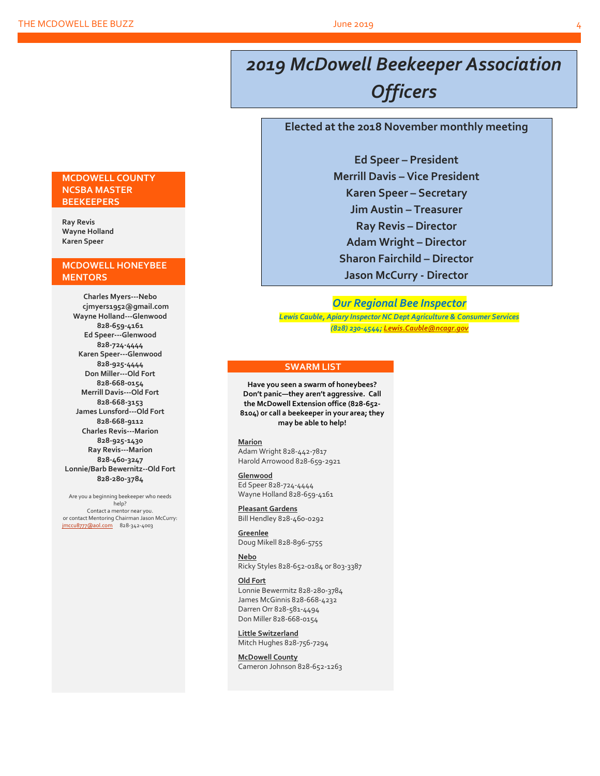# *2019 McDowell Beekeeper Association Officers*

#### **Elected at the 2018 November monthly meeting**

**Ed Speer – President Merrill Davis – Vice President Karen Speer – Secretary Jim Austin – Treasurer Ray Revis – Director Adam Wright – Director Sharon Fairchild – Director Jason McCurry - Director**

#### *Our Regional Bee Inspector*

*Lewis Cauble, Apiary Inspector NC Dept Agriculture & Consumer Services (828) 230-4544[; Lewis.Cauble@ncagr.gov](file:///L:/Beekeeping/Beekeeping%202019/McDowell%20Honeybees%202019/MHB%20Newsletters%202019/Apr%202019/Lewis.Cauble@ncagr.gov)*

#### **SWARM LIST**

**Have you seen a swarm of honeybees? Don't panic—they aren't aggressive. Call the McDowell Extension office (828-652- 8104) or call a beekeeper in your area; they may be able to help!**

#### **Marion**

Adam Wright 828-442-7817 Harold Arrowood 828-659-2921

#### **Glenwood**

Ed Speer 828-724-4444 Wayne Holland 828-659-4161

**Pleasant Gardens** Bill Hendley 828-460-0292

**Greenlee** Doug Mikell 828-896-5755

**Nebo** Ricky Styles 828-652-0184 or 803-3387

#### **Old Fort**

Lonnie Bewermitz 828-280-3784 James McGinnis 828-668-4232 Darren Orr 828-581-4494 Don Miller 828-668-0154

**Little Switzerland** Mitch Hughes 828-756-7294

**McDowell County** Cameron Johnson 828-652-1263

#### **MCDOWELL COUNTY NCSBA MASTER BEEKEEPERS**

**Ray Revis Wayne Holland Karen Speer**

#### **MCDOWELL HONEYBEE MENTORS**

**Charles Myers---Nebo cjmyers1952@gmail.com Wayne Holland---Glenwood 828-659-4161 Ed Speer---Glenwood 828-724-4444 Karen Speer---Glenwood 828-925-4444 Don Miller---Old Fort 828-668-0154 Merrill Davis---Old Fort 828-668-3153 James Lunsford---Old Fort 828-668-9112 Charles Revis---Marion 828-925-1430 Ray Revis---Marion 828-460-3247 Lonnie/Barb Bewernitz--Old Fort 828-280-3784**

Are you a beginning beekeeper who needs help? Contact a mentor near you. or contact Mentoring Chairman Jason McCurry: [jmccu8777@aol.com](mailto:jmccu8777@aol.com)828-342-4003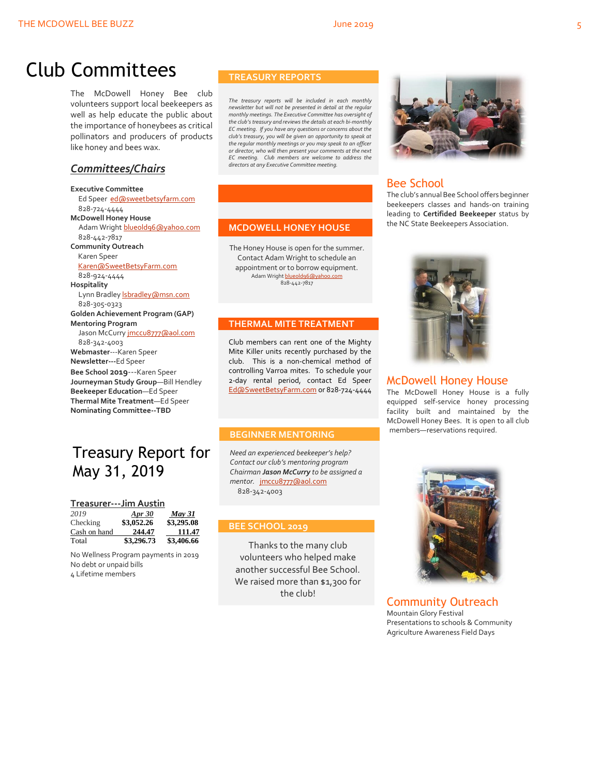# Club Committees

The McDowell Honey Bee club volunteers support local beekeepers as well as help educate the public about the importance of honeybees as critical pollinators and producers of products like honey and bees wax.

## *Committees/Chairs*

**Executive Committee** Ed Speer [ed@sweetbetsyfarm.com](mailto:ed@sweetbetsyfarm.com) 828-724-4444 **McDowell Honey House** Adam Wright [blueold96@yahoo.com](mailto:blueold96@yahoo.com) 828-442-7817 **Community Outreach** Karen Speer [Karen@SweetBetsyFarm.com](mailto:Karen@SweetBetsyFarm.com) 828-924-4444 **Hospitality** Lynn Bradley *sbradley* @msn.com 828-305-0323 **Golden Achievement Program (GAP) Mentoring Program** Jason McCurry [jmccu8777@aol.com](mailto:jmccu8777@aol.com) 828-342-4003 **Webmaster**---Karen Speer **Newsletter---**Ed Speer **Bee School 2019**---Karen Speer **Journeyman Study Group**—Bill Hendley **Beekeeper Education**—Ed Speer **Thermal Mite Treatment**—Ed Speer **Nominating Committee--TBD**

## Treasury Report for May 31, 2019

|  |  | Treasurer---Jim Austin |  |  |  |  |  |  |  |  |  |  |  |  |  |  |  |
|--|--|------------------------|--|--|--|--|--|--|--|--|--|--|--|--|--|--|--|
|--|--|------------------------|--|--|--|--|--|--|--|--|--|--|--|--|--|--|--|

| 2019         | Apr $30$   | <b>May 31</b> |
|--------------|------------|---------------|
| Checking     | \$3,052.26 | \$3,295.08    |
| Cash on hand | 244.47     | 111.47        |
| Total        | \$3,296.73 | \$3,406.66    |

No Wellness Program payments in 2019 No debt or unpaid bills 4 Lifetime members

#### **TREASURY REPORTS**

*The treasury reports will be included in each monthly newsletter but will not be presented in detail at the regular monthly meetings. The Executive Committee has oversight of the club's treasury and reviews the details at each bi-monthly EC meeting. If you have any questions or concerns about the club's treasury, you will be given an opportunity to speak at the regular monthly meetings or you may speak to an officer or director, who will then present your comments at the next EC meeting. Club members are welcome to address the directors at any Executive Committee meeting.*

#### **MCDOWELL HONEY HOUSE**

The Honey House is open for the summer. Contact Adam Wright to schedule an appointment or to borrow equipment. Adam Wrigh[t blueold96@yahoo.com](mailto:blueold96@yahoo.com) 828-442-7817

#### **THERMAL MITE TREATMENT**

Club members can rent one of the Mighty Mite Killer units recently purchased by the club. This is a non-chemical method of controlling Varroa mites. To schedule your 2-day rental period, contact Ed Speer [Ed@SweetBetsyFarm.com](mailto:Ed@SweetBetsyFarm.com) or 828-724-4444

#### **BEGINNER MENTORING**

*Need an experienced beekeeper's help? Contact our club's mentoring program Chairman Jason McCurry to be assigned a mentor.* [jmccu8777@aol.com](mailto:jmccu8777@aol.com) 828-342-4003

#### **BEE SCHOOL 2019**

Thanks to the many club volunteers who helped make another successful Bee School. We raised more than \$1,300 for the club!



## Bee School

The club's annual Bee School offers beginner beekeepers classes and hands-on training leading to **Certifided Beekeeper** status by the NC State Beekeepers Association.



#### McDowell Honey House

The McDowell Honey House is a fully equipped self-service honey processing facility built and maintained by the McDowell Honey Bees. It is open to all club members—reservations required.



Community Outreach Mountain Glory Festival Presentations to schools & Community Agriculture Awareness Field Days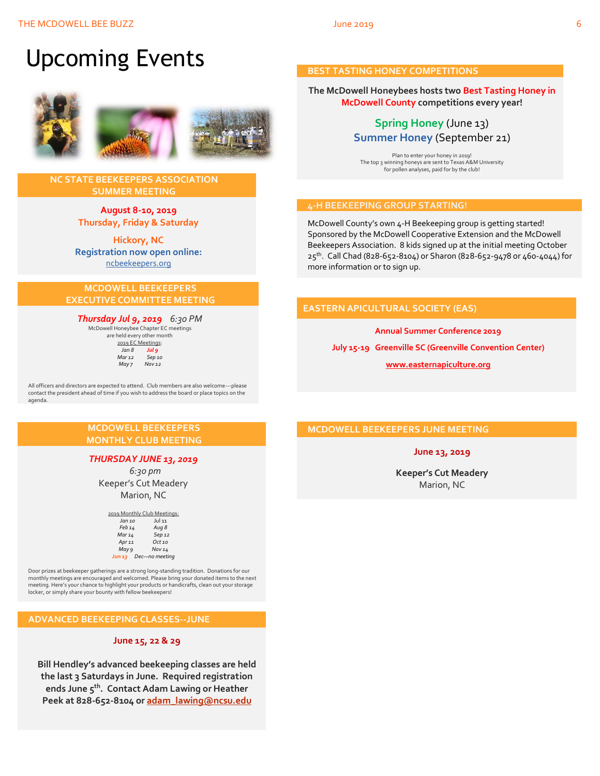# Upcoming Events



#### **NC STATE BEEKEEPERS ASSOCIATION SUMMER MEETING**

**August 8-10, 2019 Thursday, Friday & Saturday**

**Hickory, NC Registration now open online:** [ncbeekeepers.org](http://www.ncbeekeepers.org/)

#### **MCDOWELL BEEKEEPERS EXECUTIVE COMMITTEE MEETING**

*Thursday Jul 9, 2019 6:30 PM* McDowell Honeybee Chapter EC meetings

are held every other month 2019 EC Meetings: *Jan 8 Jul 9 Mar 12 Sep 10 May 7 Nov 12*

All officers and directors are expected to attend. Club members are also welcome---please contact the president ahead of time if you wish to address the board or place topics on the agenda.

#### **MCDOWELL BEEKEEPERS MONTHLY CLUB MEETING**

#### *THURSDAY JUNE 13, 2019*

 *6:30 pm* Keeper's Cut Meadery Marion, NC

| 2019 Monthly Club Meetings: |                     |  |  |  |  |
|-----------------------------|---------------------|--|--|--|--|
| Jan 10                      | <b>Jul 11</b>       |  |  |  |  |
| Feb 14                      | Aug 8               |  |  |  |  |
| Mar 14                      | Sep <sub>12</sub>   |  |  |  |  |
| Apr 11                      | $Oct$ <sub>10</sub> |  |  |  |  |
| May 9                       | Nov 14              |  |  |  |  |
| Jun 13                      | Dec-no meeting      |  |  |  |  |

Door prizes at beekeeper gatherings are a strong long-standing tradition. Donations for our monthly meetings are encouraged and welcomed. Please bring your donated items to the next meeting. Here's your chance to highlight your products or handicrafts, clean out your storage locker, or simply share your bounty with fellow beekeepers!

#### **ADVANCED BEEKEEPING CLASSES--JUNE**

#### **June 15, 22 & 29**

**Bill Hendley's advanced beekeeping classes are held the last 3 Saturdays in June. Required registration ends June 5th. Contact Adam Lawing or Heather Peek at 828-652-8104 or [adam\\_lawing@ncsu.edu](mailto:adam_lawing@ncsu.edu)**

#### **BEST TASTING HONEY COMPETITIONS**

#### **The McDowell Honeybees hosts two Best Tasting Honey in McDowell County competitions every year!**

## **Spring Honey** (June 13) **Summer Honey** (September 21)

Plan to enter your honey in 2019! The top 3 winning honeys are sent to Texas A&M University for pollen analyses, paid for by the club!

#### **4-H BEEKEEPING GROUP STARTING!**

McDowell County's own 4-H Beekeeping group is getting started! Sponsored by the McDowell Cooperative Extension and the McDowell Beekeepers Association. 8 kids signed up at the initial meeting October 25th. Call Chad (828-652-8104) or Sharon (828-652-9478 or 460-4044) for more information or to sign up.

#### **EASTERN APICULTURAL SOCIETY (EAS)**

**Annual Summer Conference 2019 July 15-19 Greenville SC (Greenville Convention Center) [www.easternapiculture.org](http://www.easternapiculture.org/)**

#### **MCDOWELL BEEKEEPERS JUNE MEETING**

#### **June 13, 2019**

**Keeper's Cut Meadery** Marion, NC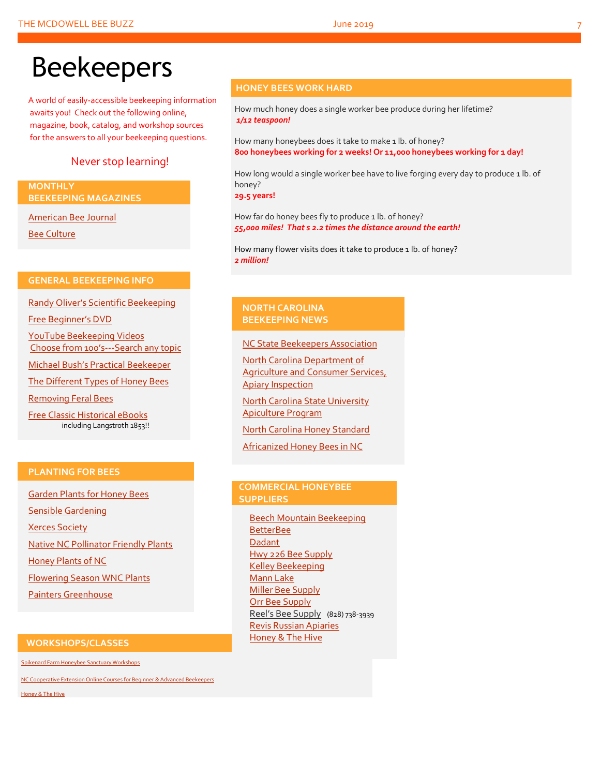# Beekeepers

A world of easily-accessible beekeeping information awaits you! Check out the following online, magazine, book, catalog, and workshop sources for the answers to all your beekeeping questions.

## Never stop learning!

#### **MONTHLY BEEKEEPING MAGAZINES**

[American Bee Journal](http://www.americanbeejournal.com/)

[Bee Culture](http://www.beeculture.com/)

#### **GENERAL BEEKEEPING INFO**

Randy Oliver's [Scientific Beekeeping](http://scientificbeekeeping.com/)

[Free Beginner's DVD](http://www.worldofbeekeeping.com/free-kit/)

[YouTube Beekeeping Videos](https://www.youtube.com/results?search_query=beekeeping) Choose from 100's[---Search any topic](https://www.youtube.com/results?search_query=beekeeping)

[Michael Bush's Practical Beekeeper](http://www.bushfarms.com/bees.htm)

[The Different Types of Honey Bees](https://www.cals.ncsu.edu/entomology/apiculture/pdfs/1.12%20copy.pdf)

[Removing Feral Bees](http://www.ces.ncsu.edu/depts/ent/notes/Urban/bees-faq.htm)

[Free Classic Historical eBooks](http://www.apiculture-populaire.com/) including Langstroth 1853!!

### **HONEY BEES WORK HARD**

How much honey does a single worker bee produce during her lifetime? *1/12 teaspoon!*

How many honeybees does it take to make 1 lb. of honey? **800 honeybees working for 2 weeks! Or 11,000 honeybees working for 1 day!**

How long would a single worker bee have to live forging every day to produce 1 lb. of honey?

**29.5 years!**

How far do honey bees fly to produce 1 lb. of honey? *55,000 miles! That s 2.2 times the distance around the earth!*

How many flower visits does it take to produce 1 lb. of honey? *2 million!*

#### **NORTH CAROLINA BEEKEEPING NEWS**

[NC State Beekeepers Association](http://www.ncbeekeepers.org/)

[North Carolina Department of](http://www.ncbeekeepers.org/resources/apiary-inspection-program)  [Agriculture and Consumer Services,](http://www.ncbeekeepers.org/resources/apiary-inspection-program)  [Apiary Inspection](http://www.ncbeekeepers.org/resources/apiary-inspection-program)

[North Carolina State University](http://entomology.ncsu.edu/apiculture)  [Apiculture Program](http://entomology.ncsu.edu/apiculture)

[North Carolina Honey Standard](http://www.ncbeekeepers.org/honey/nc-honey-standard)

[Africanized Honey Bees in NC](http://wncbees.org/wp-content/uploads/2014/08/AHBs-Some-questions-and-answers-NCSU-1.03.pdf)

#### **PLANTING FOR BEES**

[Garden Plants for Honey Bees](http://www.wicwas.com/Garden_Plants_for_Honey_Bees) [Sensible Gardening](http://sensiblegardening.com/busy-busy-bees/) [Xerces Society](http://www.xerces.org/pollinator-conservation/gardens/) [Native NC Pollinator Friendly Plants](http://wncbees.org/wp-content/uploads/2014/07/Recommended-Polliinator-Friendly-Plant-List-for-Greater-Asheville-NC-with-Nurseries.pdf) [Honey Plants of NC](http://wncbees.org/wp-content/uploads/2014/08/Honey-Plants-of-North-Carolina-NCSU-1.04.pdf) [Flowering Season WNC Plants](http://wncbees.org/wp-content/uploads/2014/07/Typical-Flowering-Seasons-for-Western-North-Carolina-Honey-and-Pollen-Sources-Edd-Buchanan-John-Mundy-Chris-Mathis.pdf) [Painters Greenhouse](http://www.paintersgreenhouse.com/)

#### **COMMERCIAL HONEYBEE SUPPLIERS**

[Beech Mountain Beekeeping](http://beechmountainbeesupply.com/store/cart.php) **[BetterBee](http://www.betterbee.com/)** [Dadant](https://www.dadant.com/) [Hwy 226 Bee Supply](http://hwy226beesupplies.com/) [Kelley Beekeeping](https://www.kelleybees.com/) [Mann Lake](http://www.mannlakeltd.com/) [Miller Bee Supply](http://millerbeesupply.com/catalog/) [Orr Bee Supply](http://www.orrbeesupply.com/) Reel's Bee Supply (828) 738-3939 [Revis Russian Apiaries](http://revisrussians.com/) [Honey & The Hive](https://www.honeyandthehivenc.com/)

#### **WORKSHOPS/CLASSES**

[Spikenard Farm Honeybee Sanctuary Workshops](http://spikenardfarm.org/)

[NC Cooperative Extension Online Courses for Beginner &](https://entomology.ces.ncsu.edu/apiculture/bees/) Advanced Beekeepers

[Honey & The Hive](https://www.honeyandthehivenc.com/)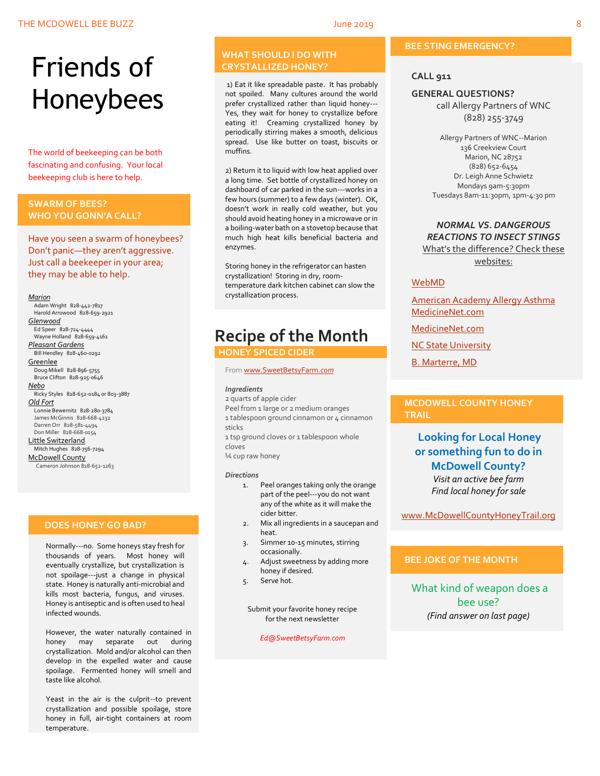# Friends of Honeybees

The world of beekeeping can be both fascinating and confusing. Your local beekeeping club is here to help.

#### <span id="page-7-0"></span>**SWARM OF BEES? WHO YOU GONN'A CALL?**

Have you seen a swarm of honeybees? Don't panic—they aren't aggressive. Just call a beekeeper in your area; they may be able to help.

#### *Marion*

 Adam Wright 828-442-7817 Harold Arrowood 828-659-2921 *Glenwood* Ed Speer 828-724-4444 Wayne Holland 828-659-4161 *Pleasant Gardens* Bill Hendley 828-460-0292 **Greenlee**  Doug Mikell 828-896-5755 Bruce Clifton 828-925-0646 *Nebo* Ricky Styles 828-652-0184 or 803-3887 *Old Fort* Lonnie Bewernitz 828-280-3784 James McGinnis 828-668-4232 Darren Orr 828-581-4494 Don Miller 828-668-0154 Little Switzerland Mitch Hughes 828-756-7294 McDowell County Cameron Johnson 828-652-1263

#### **DOES HONEY GO BAD?**

Normally---no. Some honeys stay fresh for thousands of years. Most honey will eventually crystallize, but crystallization is not spoilage---just a change in physical state. Honey is naturally anti-microbial and kills most bacteria, fungus, and viruses. Honey is antiseptic and is often used to heal infected wounds.

However, the water naturally contained in honey may separate out during crystallization. Mold and/or alcohol can then develop in the expelled water and cause spoilage. Fermented honey will smell and taste like alcohol.

Yeast in the air is the culprit--to prevent crystallization and possible spoilage, store honey in full, air-tight containers at room temperature.

#### **WHAT SHOULD I DO WITH CRYSTALLIZED HONEY?**

1) Eat it like spreadable paste. It has probably not spoiled. Many cultures around the world prefer crystallized rather than liquid honey--- Yes, they wait for honey to crystallize before eating it! Creaming crystallized honey by periodically stirring makes a smooth, delicious spread. Use like butter on toast, biscuits or muffins.

2) Return it to liquid with low heat applied over a long time. Set bottle of crystallized honey on dashboard of car parked in the sun---works in a few hours (summer) to a few days (winter). OK, doesn't work in really cold weather, but you should avoid heating honey in a microwave or in a boiling-water bath on a stovetop because that much high heat kills beneficial bacteria and enzymes.

Storing honey in the refrigerator can hasten crystallization! Storing in dry, roomtemperature dark kitchen cabinet can slow the crystallization process.

# **Recipe of the Month**

### **HONEY SPICED CIDER**

Fro[m www.SweetBetsyFarm.](http://www.sweetbetsyfarm.com/)*com*

#### *Ingredients*

2 quarts of apple cider Peel from 1 large or 2 medium oranges 1 tablespoon ground cinnamon or 4 cinnamon sticks

1 tsp ground cloves or 1 tablespoon whole cloves

¼ cup raw honey

#### *Directions*

- 1. Peel oranges taking only the orange part of the peel---you do not want any of the white as it will make the cider bitter.
- 2. Mix all ingredients in a saucepan and heat.
- 3. Simmer 10-15 minutes, stirring occasionally.
- 4. Adjust sweetness by adding more honey if desired.
- 5. Serve hot.

Submit your favorite honey recipe for the next newsletter

#### *Ed@SweetBetsyFarm.com*

#### **BEE STING EMERGENCY?**

#### **CALL 911**

#### **GENERAL QUESTIONS?**

call Allergy Partners of WNC (828) 255-3749

Allergy Partners of WNC--Marion 136 Creekview Court Marion, NC 28752 (828) 652-6454 Dr. Leigh Anne Schwietz Mondays 9am-5:30pm Tuesdays 8am-11:30pm, 1pm-4:30 pm

#### *NORMAL VS. DANGEROUS REACTIONS TO INSECT STINGS* What's the difference? Check these

websites:

#### [WebMD](http://www.webmd.com/allergies/guide/insect-stings)

[American Academy Allergy Asthma](http://www.aaaai.org/conditions-and-treatments/library/allergy-library/stinging-insect-allergy.aspx) [MedicineNet.com](http://www.medicinenet.com/insect_sting_allergies/article.htm)

[MedicineNet.com](http://www.medicinenet.com/insect_sting_allergies/article.htm)

**[NC State University](http://wncbees.org/wp-content/uploads/2014/08/Allergy-to-Insect-Stings-NCSU-1.09.pdf)** 

[B. Marterre, MD](http://wncbees.org/wp-content/uploads/2014/08/Bee-Stings-Immunology-Allergy-and-Treatment-Marterre.pdf)

#### **MCDOWELL COUNTY HONEY TRAIL**

### **Looking for Local Honey or something fun to do in McDowell County?** *Visit an active bee farm Find local honey for sale*

[www.McDowellCountyHoneyTrail.org](http://www.mcdowellcountyhoneytrail.org/)

#### **BEE JOKE OF THE MONTH**

What kind of weapon does a bee use? *(Find answer on last page)*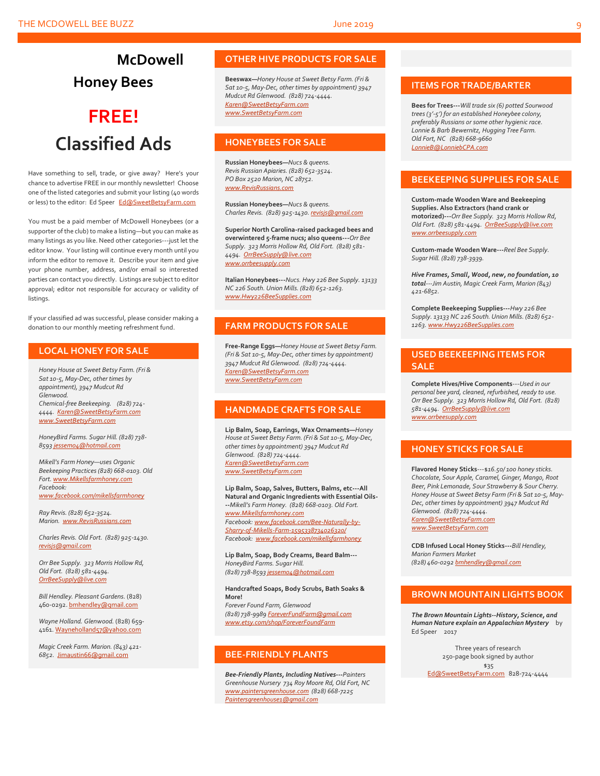# **McDowell Honey Bees**

# **FREE! Classified Ads**

Have something to sell, trade, or give away? Here's your chance to advertise FREE in our monthly newsletter! Choose one of the listed categories and submit your listing (40 words or less) to the editor: Ed Speer [Ed@SweetBetsyFarm.com](mailto:Ed@SweetBetsyFarm.com)

You must be a paid member of McDowell Honeybees (or a supporter of the club) to make a listing—but you can make as many listings as you like. Need other categories---just let the editor know. Your listing will continue every month until you inform the editor to remove it. Describe your item and give your phone number, address, and/or email so interested parties can contact you directly. Listings are subject to editor approval; editor not responsible for accuracy or validity of listings.

If your classified ad was successful, please consider making a donation to our monthly meeting refreshment fund.

#### **LOCAL HONEY FOR SALE**

*Honey House at Sweet Betsy Farm. (Fri & Sat 10-5, May-Dec, other times by appointment), 3947 Mudcut Rd Glenwood. Chemical-free Beekeeping. (828) 724- 4444. [Karen@SweetBetsyFarm.com](mailto:Karen@SweetBetsyFarm.com) www.SweetBetsyFarm.com*

*HoneyBird Farms. Sugar Hill. (828) 738- 859[3 jessem04@hotmail.com](mailto:jessem04@hotmail.com)*

*Mikell's Farm Honey—uses Organic Beekeeping Practices (828) 668-0103. Old Fort[. www.Mikellsfarmhoney.com](http://www.mikellsfarmhoney.com/) Facebook: [www.facebook.com/mikellsfarmhoney](http://www.facebook.com/mikellsfarmhoney)*

*Ray Revis. (828) 652-3524. Marion. [www.RevisRussians.com](http://www.revisrussians.com/)*

*Charles Revis. Old Fort. (828) 925-1430. [revisjs@gmail.com](mailto:revisjs@gmail.com)*

*Orr Bee Supply. 323 Morris Hollow Rd, Old Fort. (828) 581-4494. [OrrBeeSupply@live.com](mailto:OrrBeeSupply@live.com)*

*Bill Hendley. Pleasant Gardens.* (828) 460-0292[. bmhendley@gmail.com](mailto:bmhendley@gmail.com)

*Wayne Holland. Glenwood.* (828) 659- 4161[. Wayneholland57@yahoo.com](mailto:Wayneholland57@yahoo.com)

*Magic Creek Farm. Marion. (843) 421- 6852.* [Jimaustin66@gmail.com](mailto:Jimaustin66@gmail.com)

#### **OTHER HIVE PRODUCTS FOR SALE**

**Beeswax—***Honey House at Sweet Betsy Farm. (Fri & Sat 10-5, May-Dec, other times by appointment) 3947 Mudcut Rd Glenwood. (828) 724-4444. [Karen@SweetBetsyFarm.com](mailto:Karen@SweetBetsyFarm.com) www.SweetBetsyFarm.com*

#### **HONEYBEES FOR SALE**

**Russian Honeybees—***Nucs & queens. Revis Russian Apiaries. (828) 652-3524. PO Box 2520 Marion, NC 28752. [www.RevisRussians.com](http://www.revisrussians.com/)*

**Russian Honeybees—***Nucs & queens. Charles Revis. (828) 925-1430. [revisjs@gmail.com](mailto:revisjs@gmail.com)*

**Superior North Carolina-raised packaged bees and overwintered 5-frame nucs; also queens---***Orr Bee Supply. 323 Morris Hollow Rd, Old Fort. (828) 581- 4494. [OrrBeeSupply@live.com](mailto:OrrBeeSupply@live.com) www.orrbeesupply.com*

**Italian Honeybees---***Nucs. Hwy 226 Bee Supply. 13133 NC 226 South. Union Mills. (828) 652-1263. [www.Hwy226BeeSupplies.com](http://www.hwy226beesupplies.com/)*

#### **FARM PRODUCTS FOR SALE**

**Free-Range Eggs—***Honey House at Sweet Betsy Farm. (Fri & Sat 10-5, May-Dec, other times by appointment) 3947 Mudcut Rd Glenwood. (828) 724-4444. [Karen@SweetBetsyFarm.com](mailto:Karen@SweetBetsyFarm.com) www.SweetBetsyFarm.com*

#### **HANDMADE CRAFTS FOR SALE**

**Lip Balm, Soap, Earrings, Wax Ornaments—***Honey House at Sweet Betsy Farm. (Fri & Sat 10-5, May-Dec, other times by appointment) 3947 Mudcut Rd Glenwood. (828) 724-4444. [Karen@SweetBetsyFarm.com](mailto:Karen@SweetBetsyFarm.com) [www.SweetBetsyFarm.com](http://www.sweetbetsyfarm.com/)*

**Lip Balm, Soap, Salves, Butters, Balms, etc---All Natural and Organic Ingredients with Essential Oils- --***Mikell's Farm Honey. (828) 668-0103. Old Fort. [www.Mikellsfarmhoney.com](http://www.mikellsfarmhoney.com/) Facebook[: www.facebook.com/Bee-Naturally-by-](http://www.facebook.com/Bee-Naturally-by-Sharry-of-Mikells-Farm-1595338734026320/)[Sharry-of-Mikells-Farm-1595338734026320/](http://www.facebook.com/Bee-Naturally-by-Sharry-of-Mikells-Farm-1595338734026320/) Facebook: [www.facebook.com/mikellsfarmhoney](http://www.facebook.com/mikellsfarmhoney)*

**Lip Balm, Soap, Body Creams, Beard Balm---** *HoneyBird Farms. Sugar Hill. (828) 738-859[3 jessem04@hotmail.com](mailto:jessem04@hotmail.com)*

**Handcrafted Soaps, Body Scrubs, Bath Soaks & More!** *Forever Found Farm, Glenwood (828) 738-9989 [ForeverFundFarm@gmail.com](mailto:ForeverFundFarm@gmail.com) [www.etsy.com/shop/ForeverFoundFarm](http://www.etsy.com/shop/ForeverFoundFarm)*

#### **BEE-FRIENDLY PLANTS**

*Bee-Friendly Plants, Including Natives---Painters Greenhouse Nursery 734 Roy Moore Rd, Old Fort, NC [www.paintersgreenhouse.com](http://www.paintersgreenhouse.com/) (828) 668-7225 [Paintersgreenhouse1@gmail.com](mailto:Paintersgreenhouse1@gmail.com)*

#### **ITEMS FOR TRADE/BARTER**

**Bees for Trees---***Will trade six (6) potted Sourwood trees (3'-5') for an established Honeybee colony, preferably Russians or some other hygienic race. Lonnie & Barb Bewernitz, Hugging Tree Farm. Old Fort, NC (828) 668-9660 [LonnieB@LonniebCPA.com](mailto:LonnieB@LonniebCPA.com)*

#### **BEEKEEPING SUPPLIES FOR SALE**

**Custom-made Wooden Ware and Beekeeping Supplies. Also Extractors (hand crank or motorized)---***Orr Bee Supply. 323 Morris Hollow Rd, Old Fort. (828) 581-4494[. OrrBeeSupply@live.com](mailto:OrrBeeSupply@live.com) [www.orrbeesupply.com](file:///K:/McDowell%20Honeybees/2016/2016%20Newsletters/May%202016%20Newsletter/www.orrbeesupply.com)*

**Custom-made Wooden Ware---***Reel Bee Supply. Sugar Hill. (828) 738-3939.*

*Hive Frames, Small, Wood, new, no foundation, 10 total---Jim Austin, Magic Creek Farm, Marion (843) 421-6852.*

**Complete Beekeeping Supplies---***Hwy 226 Bee Supply. 13133 NC 226 South. Union Mills. (828) 652- 1263[. www.Hwy226BeeSupplies.com](http://www.hwy226beesupplies.com/)*

#### **USED BEEKEEPING ITEMS FOR SALE**

**Complete Hives/Hive Components**---*Used in our personal bee yard, cleaned, refurbished, ready to use. Orr Bee Supply. 323 Morris Hollow Rd, Old Fort. (828) 581-4494. [OrrBeeSupply@live.com](mailto:OrrBeeSupply@live.com) [www.orrbeesupply.com](file:///K:/McDowell%20Honeybees/2016/2016%20Newsletters/May%202016%20Newsletter/www.orrbeesupply.com)*

#### **HONEY STICKS FOR SALE**

**Flavored Honey Sticks**---\$*16.50/ 100 honey sticks. Chocolate, Sour Apple, Caramel, Ginger, Mango, Root Beer, Pink Lemonade, Sour Strawberry & Sour Cherry. Honey House at Sweet Betsy Farm (Fri & Sat 10-5, May-Dec, other times by appointment) 3947 Mudcut Rd Glenwood. (828) 724-4444. [Karen@SweetBetsyFarm.com](mailto:Karen@SweetBetsyFarm.com) www.SweetBetsyFarm.com*

**CDB Infused Local Honey Sticks---***Bill Hendley, Marion Farmers Market (828) 460-029[2 bmhendley@gmail.com](mailto:bmhendley@gmail.com)*

#### **BROWN MOUNTAIN LIGHTS BOOK**

*The Brown Mountain Lights--History, Science, and Human Nature explain an Appalachian Mystery* by Ed Speer 2017

Three years of research 250-page book signed by author \$35

[Ed@SweetBetsyFarm.com](mailto:Ed@SweetBetsyFarm.com) 828-724-4444